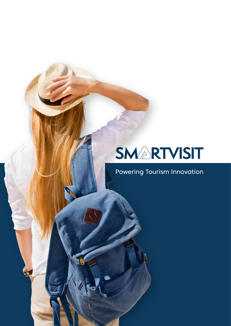## SMARTVISIT

Powering Tourism Innovation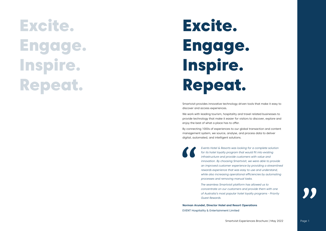Smartvisit provides innovative technology driven tools that make it easy to discover and access experiences.

We work with leading tourism, hospitality and travel related businesses to provide technology that make it easier for visitors to discover, explore and enjoy the best of what a place has to offer.

By connecting 1000s of experiences to our global transaction and content management system, we source, analyse, and process data to deliver digital, automated, and intelligent solutions.

> *Events Hotel & Resorts was looking for a complete solution for its hotel loyalty program that would fit into existing infrastructure and provide customers with value and innovation. By choosing Smartvisit, we were able to provide an improved customer experience by providing a streamlined rewards experience that was easy to use and understand, while also increasing operational efficiencies by automating processes and removing manual tasks.*

*The seamless Smartvisit platform has allowed us to concentrate on our customers and provide them with one of Australia's most popular hotel loyalty programs - Priority Guest Rewards.*

**Norman Arundel, Director Hotel and Resort Operations** EVENT Hospitality & Entertainment Limited

Smartvisit Experiences Brochure | May 2022 Page 1



# Excite. Engage. Inspire. Repeat.

# Excite. Engage. Inspire. Repeat.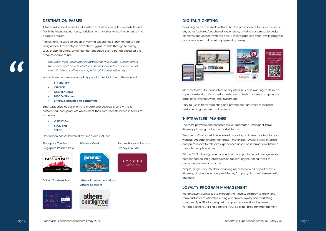#### **DESTINATION PASSES**

A fully customised, white label solution that offers complete versatility and flexibility in packaging tours, activities, or any other type of experience into a single product.

- FLEXIBILITY;
- CHOICE;
- CONVENIENCE;
- DISCOVERY; and
- SAVINGS provided to consumers.

'Passes' offer a wide selection of varying experiences, only limited to your imagination. From entry to attractions, gyms, events through to dining, tour, shopping offers, which can be redeemed over a period based on the products terms of use.

*The Dubai Pass, developed in partnership with Dubai Tourism, offers the visitor 3 or 5 tickets which can be redeemed from a selection of over 40 different offers over a period of 5 consecutive days.* 

Passes have become an incredibly popular product due to the inherent

Smartvisit enables our clients to create and develop their own, fully customised, pass products which meet their own specific needs in terms of increasing:

- VISITATION,
- STAY, and
- SPEND.

Destination passes Powered by Smartvisit, include:

### **DIGITAL TICKETING**

Providing an off-the-shelf platform for the promotion of tours, activities or any other 'ticketed/vouchered' experience, offering customisable design elements and content with the ability to integrate into your loyalty program (for points earn and burn) or payment gateway.



We empower businesses to execute their loyalty strategy to grow longterm customer relationships using our proven loyalty and marketing solutions. Specifically designed to support connections between various partners utilising different POS, booking, property management,



Ideal for hotels, tour operators or any other business wanting to deliver a superior selection of curated experiences to their customers to generate additional revenues with little investment.

Easy to use in hotel marketing and promotional activities to increase customer engagement and revenue.

### **'HIPTRAVELER' PLANNER**

The most powerful and comprehensive automated, intelligent travel itinerary planning tool in the market today.

Website or Chatbot widget enabled providing an interactive tool for your website. An auto itinerary generator, matching traveller styles, interests and preferences to relevant experiences based on information obtained through multiple sources.

With a CMS allowing collection, editing, and publishing of user generated content and an integrated function facilitating the difficult task of converting interest into action.

Simple, single user interface enabling users to book all or part of their itinerary, drawing inventory provided by 3rd party distribution/reservation channels.

### **LOYALTY PROGRAM MANAGEMENT**

Dubai (Tourism) Pass





Singapore Tourism, Singapore Passion Pass

> Athens International Airport, Athens Spotlight



Rydges Hotels & Resorts, Sydney Fun Pass

**RYDGES** 

**SYDNEY PASS** 



iVenture Card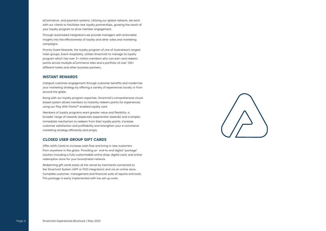eCommerce, and payment systems. Utilising our global network, we work with our clients to facilitate new loyalty partnerships, growing the reach of your loyalty program to drive member engagement.

Through automated integrations we provide managers with actionable insights into the effectiveness of loyalty and other sales and marketing campaigns.

Priority Guest Rewards, the loyalty program of one of Australasia's largest hotel groups, Event Hospitality, utilises Smartvisit to manage its loyalty program which has over 3+ million members who can earn and redeem points across multiple eCommerce sites and a portfolio of over 100+ different hotels and other business partners.

#### **INSTANT REWARDS**

Catapult customer engagement through customer benefits and modernise your marketing strategy by offering a variety of experiences locally or from around the globe.

Along with our loyalty program expertise, Smartvisit's comprehensive cloudbased system allows members to instantly redeem points for experiences using our Play With Points™ enabled loyalty card.

Members of loyalty programs want greater value and flexibility, a broader range of rewards (especially experiential rewards) and a simpler, immediate mechanism to redeem from their loyalty points. Increase customer satisfaction and profitability and strengthen your e-commerce marketing strategy efficiently and simply.

### **CLOSED USER GROUP GIFT CARDS**

Offer eGift Cards to increase cash flow and bring in new customers from anywhere in the globe. Providing an end-to-end digital 'package' solution including a fully customisable online shop; digital card; and online redemption store for your brand/retail network.

Redeeming gift cards easily at the venue by merchants connected to the Smartvisit System (APP or POS integration) and via an online store. Complete customer, management and financial suite of reports and tools. This package is easily implemented with low set up costs.